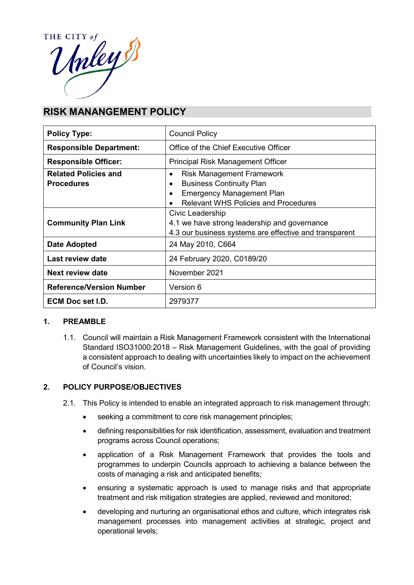

# **RISK MANANGEMENT POLICY**

| <b>Policy Type:</b>             | <b>Council Policy</b>                                  |  |
|---------------------------------|--------------------------------------------------------|--|
| <b>Responsible Department:</b>  | Office of the Chief Executive Officer                  |  |
| <b>Responsible Officer:</b>     | <b>Principal Risk Management Officer</b>               |  |
| <b>Related Policies and</b>     | <b>Risk Management Framework</b><br>$\bullet$          |  |
| <b>Procedures</b>               | <b>Business Continuity Plan</b><br>$\bullet$           |  |
|                                 | <b>Emergency Management Plan</b>                       |  |
|                                 | <b>Relevant WHS Policies and Procedures</b>            |  |
|                                 | Civic Leadership                                       |  |
| <b>Community Plan Link</b>      | 4.1 we have strong leadership and governance           |  |
|                                 | 4.3 our business systems are effective and transparent |  |
| Date Adopted                    | 24 May 2010, C664                                      |  |
| Last review date                | 24 February 2020, C0189/20                             |  |
| <b>Next review date</b>         | November 2021                                          |  |
| <b>Reference/Version Number</b> | Version 6                                              |  |
| <b>ECM Doc set I.D.</b>         | 2979377                                                |  |

## **1. PREAMBLE**

1.1. Council will maintain a Risk Management Framework consistent with the International Standard ISO31000:2018 – Risk Management Guidelines, with the goal of providing a consistent approach to dealing with uncertainties likely to impact on the achievement of Council's vision.

## **2. POLICY PURPOSE/OBJECTIVES**

- 2.1. This Policy is intended to enable an integrated approach to risk management through:
	- seeking a commitment to core risk management principles;
	- defining responsibilities for risk identification, assessment, evaluation and treatment programs across Council operations;
	- application of a Risk Management Framework that provides the tools and programmes to underpin Councils approach to achieving a balance between the costs of managing a risk and anticipated benefits;
	- ensuring a systematic approach is used to manage risks and that appropriate treatment and risk mitigation strategies are applied, reviewed and monitored;
	- developing and nurturing an organisational ethos and culture, which integrates risk management processes into management activities at strategic, project and operational levels;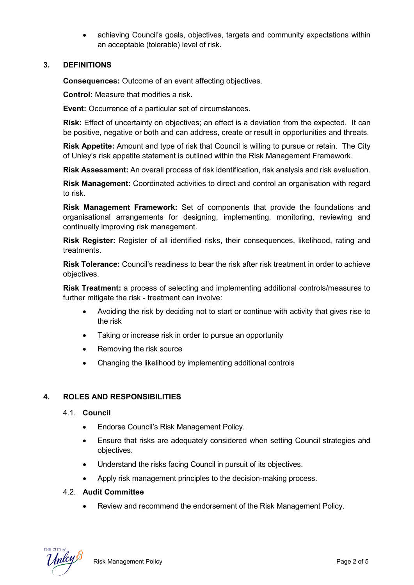• achieving Council's goals, objectives, targets and community expectations within an acceptable (tolerable) level of risk.

## **3. DEFINITIONS**

**Consequences:** Outcome of an event affecting objectives.

**Control:** Measure that modifies a risk.

**Event:** Occurrence of a particular set of circumstances.

**Risk:** Effect of uncertainty on objectives; an effect is a deviation from the expected. It can be positive, negative or both and can address, create or result in opportunities and threats.

**Risk Appetite:** Amount and type of risk that Council is willing to pursue or retain. The City of Unley's risk appetite statement is outlined within the Risk Management Framework.

**Risk Assessment:** An overall process of risk identification, risk analysis and risk evaluation.

**Risk Management:** Coordinated activities to direct and control an organisation with regard to risk.

**Risk Management Framework:** Set of components that provide the foundations and organisational arrangements for designing, implementing, monitoring, reviewing and continually improving risk management.

**Risk Register:** Register of all identified risks, their consequences, likelihood, rating and treatments.

**Risk Tolerance:** Council's readiness to bear the risk after risk treatment in order to achieve objectives.

**Risk Treatment:** a process of selecting and implementing additional controls/measures to further mitigate the risk - treatment can involve:

- Avoiding the risk by deciding not to start or continue with activity that gives rise to the risk
- Taking or increase risk in order to pursue an opportunity
- Removing the risk source
- Changing the likelihood by implementing additional controls

## **4. ROLES AND RESPONSIBILITIES**

- 4.1. **Council**
	- Endorse Council's Risk Management Policy.
	- Ensure that risks are adequately considered when setting Council strategies and objectives.
	- Understand the risks facing Council in pursuit of its objectives.
	- Apply risk management principles to the decision-making process.

#### 4.2. **Audit Committee**

• Review and recommend the endorsement of the Risk Management Policy.

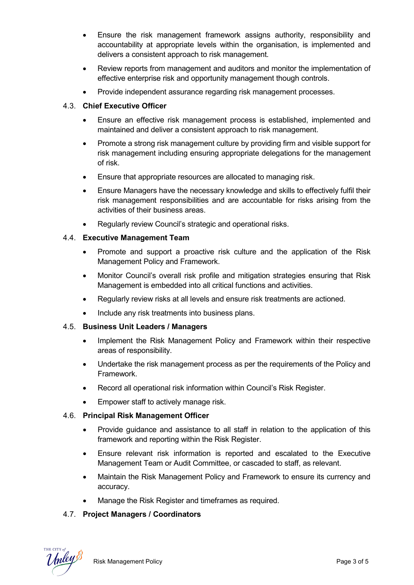- Ensure the risk management framework assigns authority, responsibility and accountability at appropriate levels within the organisation, is implemented and delivers a consistent approach to risk management.
- Review reports from management and auditors and monitor the implementation of effective enterprise risk and opportunity management though controls.
- Provide independent assurance regarding risk management processes.

# 4.3. **Chief Executive Officer**

- Ensure an effective risk management process is established, implemented and maintained and deliver a consistent approach to risk management.
- Promote a strong risk management culture by providing firm and visible support for risk management including ensuring appropriate delegations for the management of risk.
- Ensure that appropriate resources are allocated to managing risk.
- Ensure Managers have the necessary knowledge and skills to effectively fulfil their risk management responsibilities and are accountable for risks arising from the activities of their business areas.
- Regularly review Council's strategic and operational risks.

# 4.4. **Executive Management Team**

- Promote and support a proactive risk culture and the application of the Risk Management Policy and Framework.
- Monitor Council's overall risk profile and mitigation strategies ensuring that Risk Management is embedded into all critical functions and activities.
- Regularly review risks at all levels and ensure risk treatments are actioned.
- Include any risk treatments into business plans.

## 4.5. **Business Unit Leaders / Managers**

- Implement the Risk Management Policy and Framework within their respective areas of responsibility.
- Undertake the risk management process as per the requirements of the Policy and Framework.
- Record all operational risk information within Council's Risk Register.
- Empower staff to actively manage risk.

## 4.6. **Principal Risk Management Officer**

- Provide guidance and assistance to all staff in relation to the application of this framework and reporting within the Risk Register.
- Ensure relevant risk information is reported and escalated to the Executive Management Team or Audit Committee, or cascaded to staff, as relevant.
- Maintain the Risk Management Policy and Framework to ensure its currency and accuracy.
- Manage the Risk Register and timeframes as required.

# 4.7. **Project Managers / Coordinators**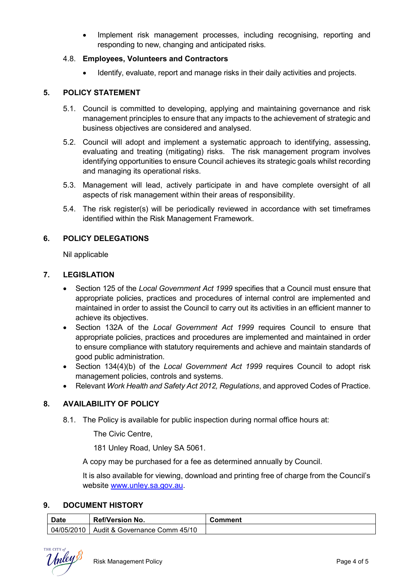• Implement risk management processes, including recognising, reporting and responding to new, changing and anticipated risks.

## 4.8. **Employees, Volunteers and Contractors**

Identify, evaluate, report and manage risks in their daily activities and projects.

#### **5. POLICY STATEMENT**

- 5.1. Council is committed to developing, applying and maintaining governance and risk management principles to ensure that any impacts to the achievement of strategic and business objectives are considered and analysed.
- 5.2. Council will adopt and implement a systematic approach to identifying, assessing, evaluating and treating (mitigating) risks. The risk management program involves identifying opportunities to ensure Council achieves its strategic goals whilst recording and managing its operational risks.
- 5.3. Management will lead, actively participate in and have complete oversight of all aspects of risk management within their areas of responsibility.
- 5.4. The risk register(s) will be periodically reviewed in accordance with set timeframes identified within the Risk Management Framework.

## **6. POLICY DELEGATIONS**

Nil applicable

#### **7. LEGISLATION**

- Section 125 of the *Local Government Act 1999* specifies that a Council must ensure that appropriate policies, practices and procedures of internal control are implemented and maintained in order to assist the Council to carry out its activities in an efficient manner to achieve its objectives.
- Section 132A of the *Local Government Act 1999* requires Council to ensure that appropriate policies, practices and procedures are implemented and maintained in order to ensure compliance with statutory requirements and achieve and maintain standards of good public administration.
- Section 134(4)(b) of the *Local Government Act 1999* requires Council to adopt risk management policies, controls and systems.
- Relevant *Work Health and Safety Act 2012, Regulations*, and approved Codes of Practice.

## **8. AVAILABILITY OF POLICY**

8.1. The Policy is available for public inspection during normal office hours at:

The Civic Centre,

181 Unley Road, Unley SA 5061.

A copy may be purchased for a fee as determined annually by Council.

It is also available for viewing, download and printing free of charge from the Council's website www.unley.sa.gov.au.

#### **9. DOCUMENT HISTORY**

| <b>Date</b> | <b>Ref/Version No.</b>        | Comment |
|-------------|-------------------------------|---------|
| 04/05/2010  | Audit & Governance Comm 45/10 |         |